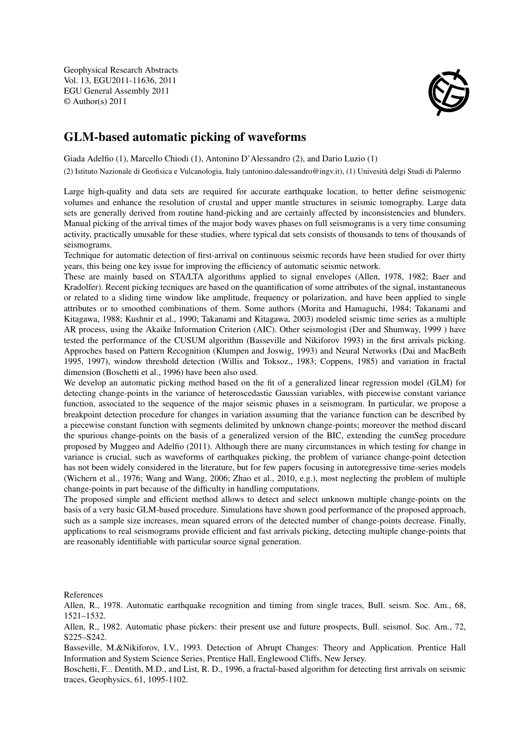Geophysical Research Abstracts Vol. 13, EGU2011-11636, 2011 EGU General Assembly 2011 © Author(s) 2011



## GLM-based automatic picking of waveforms

Giada Adelfio (1), Marcello Chiodi (1), Antonino D'Alessandro (2), and Dario Luzio (1)

(2) Istituto Nazionale di Geofisica e Vulcanologia, Italy (antonino.dalessandro@ingv.it), (1) Univesità delgi Studi di Palermo

Large high-quality and data sets are required for accurate earthquake location, to better define seismogenic volumes and enhance the resolution of crustal and upper mantle structures in seismic tomography. Large data sets are generally derived from routine hand-picking and are certainly affected by inconsistencies and blunders. Manual picking of the arrival times of the major body waves phases on full seismograms is a very time consuming activity, practically unusable for these studies, where typical dat sets consists of thousands to tens of thousands of seismograms.

Technique for automatic detection of first-arrival on continuous seismic records have been studied for over thirty years, this being one key issue for improving the efficiency of automatic seismic network.

These are mainly based on STA/LTA algorithms applied to signal envelopes (Allen, 1978, 1982; Baer and Kradolfer). Recent picking tecniques are based on the quantification of some attributes of the signal, instantaneous or related to a sliding time window like amplitude, frequency or polarization, and have been applied to single attributes or to smoothed combinations of them. Some authors (Morita and Hamaguchi, 1984; Takanami and Kitagawa, 1988; Kushnir et al., 1990; Takanami and Kitagawa, 2003) modeled seismic time series as a multiple AR process, using the Akaike Information Criterion (AIC). Other seismologist (Der and Shumway, 1999 ) have tested the performance of the CUSUM algorithm (Basseville and Nikiforov 1993) in the first arrivals picking. Approches based on Pattern Recognition (Klumpen and Joswig, 1993) and Neural Networks (Dai and MacBeth 1995, 1997), window threshold detection (Willis and Toksoz., 1983; Coppens, 1985) and variation in fractal dimension (Boschetti et al., 1996) have been also used.

We develop an automatic picking method based on the fit of a generalized linear regression model (GLM) for detecting change-points in the variance of heteroscedastic Gaussian variables, with piecewise constant variance function, associated to the sequence of the major seismic phases in a seismogram. In particular, we propose a breakpoint detection procedure for changes in variation assuming that the variance function can be described by a piecewise constant function with segments delimited by unknown change-points; moreover the method discard the spurious change-points on the basis of a generalized version of the BIC, extending the cumSeg procedure proposed by Muggeo and Adelfio (2011). Although there are many circumstances in which testing for change in variance is crucial, such as waveforms of earthquakes picking, the problem of variance change-point detection has not been widely considered in the literature, but for few papers focusing in autoregressive time-series models (Wichern et al., 1976; Wang and Wang, 2006; Zhao et al., 2010, e.g.), most neglecting the problem of multiple change-points in part because of the difficulty in handling computations.

The proposed simple and efficient method allows to detect and select unknown multiple change-points on the basis of a very basic GLM-based procedure. Simulations have shown good performance of the proposed approach, such as a sample size increases, mean squared errors of the detected number of change-points decrease. Finally, applications to real seismograms provide efficient and fast arrivals picking, detecting multiple change-points that are reasonably identifiable with particular source signal generation.

References

Allen, R., 1978. Automatic earthquake recognition and timing from single traces, Bull. seism. Soc. Am., 68, 1521–1532.

Allen, R., 1982. Automatic phase pickers: their present use and future prospects, Bull. seismol. Soc. Am., 72, S225–S242.

Basseville, M.&Nikiforov, I.V., 1993. Detection of Abrupt Changes: Theory and Application. Prentice Hall Information and System Science Series, Prentice Hall, Englewood Cliffs, New Jersey.

Boschetti, F... Dentith, M.D., and List, R. D., 1996, a fractal-based algorithm for detecting first arrivals on seismic traces, Geophysics, 61, 1095-1102.